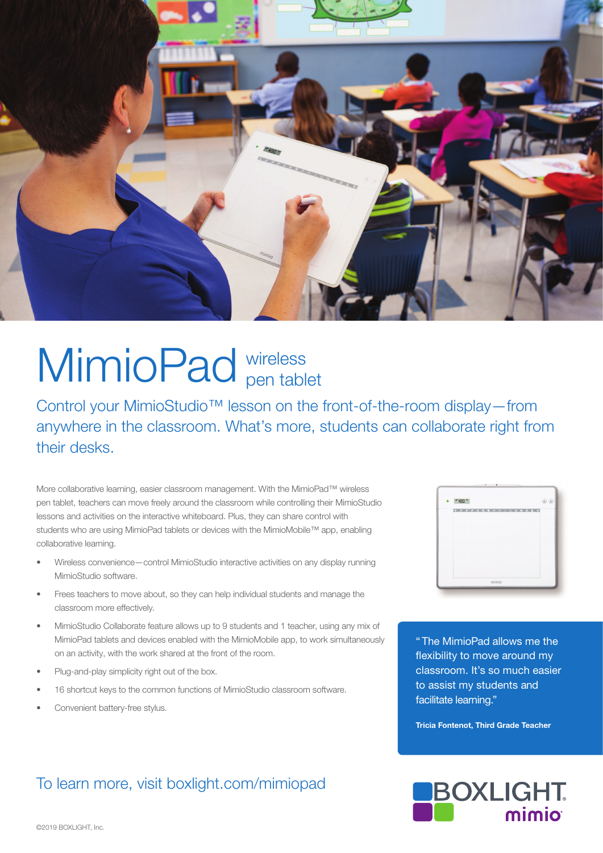

# MimioPad wireless pen tablet

Control your MimioStudio™ lesson on the front-of-the-room display—from anywhere in the classroom. What's more, students can collaborate right from their desks.

More collaborative learning, easier classroom management. With the MimioPad™ wireless pen tablet, teachers can move freely around the classroom while controlling their MimioStudio lessons and activities on the interactive whiteboard. Plus, they can share control with students who are using MimioPad tablets or devices with the MimioMobile™ app, enabling collaborative learning.

- Wireless convenience—control MimioStudio interactive activities on any display running MimioStudio software.
- Frees teachers to move about, so they can help individual students and manage the classroom more effectively.
- MimioStudio Collaborate feature allows up to 9 students and 1 teacher, using any mix of MimioPad tablets and devices enabled with the MimioMobile app, to work simultaneously on an activity, with the work shared at the front of the room.
- Plug-and-play simplicity right out of the box.
- 16 shortcut keys to the common functions of MimioStudio classroom software.
- Convenient battery-free stylus.

#### To learn more, visit boxlight.com/mimiopad



"The MimioPad allows me the flexibility to move around my classroom. It's so much easier to assist my students and facilitate learning."

Tricia Fontenot, Third Grade Teacher